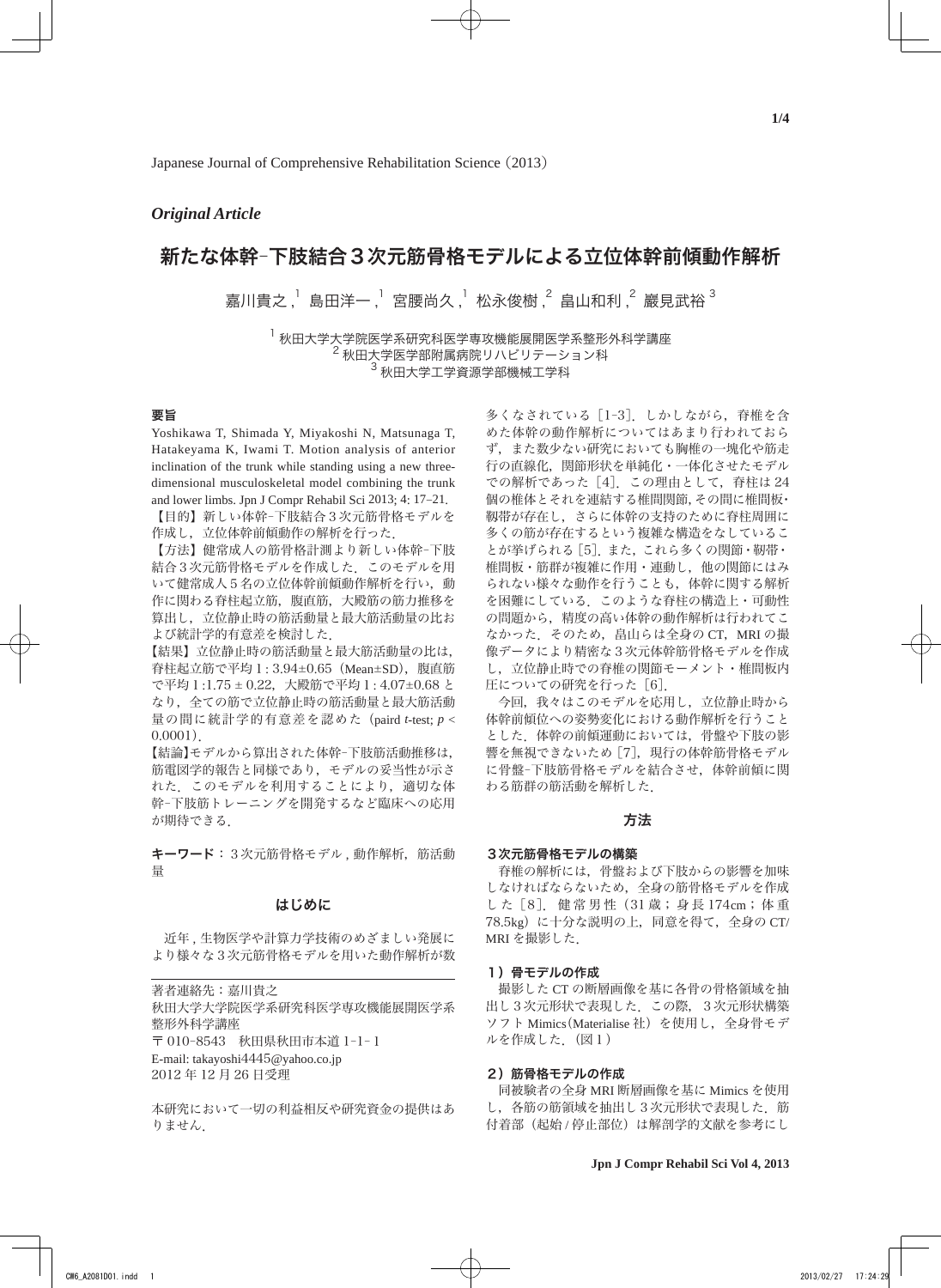# *Original Article*

# 新たな体幹―下肢結合3次元筋骨格モデルによる立位体幹前傾動作解析

嘉川貴之 , 」島田洋一 , 「宮腰尚久 , 」松永俊樹 , 2 畠山和利 , 2 巖見武裕  $^3$ 

 $^{\text{1}}$  秋田大学大学院医学系研究科医学専攻機能展開医学系整形外科学講座 <sup>2</sup> 秋田大学医学部附属病院リハビリテーション科  $^3$  秋田大学工学資源学部機械工学科

# 要旨

Yoshikawa T, Shimada Y, Miyakoshi N, Matsunaga T, Hatakeyama K, Iwami T. Motion analysis of anterior inclination of the trunk while standing using a new threedimensional musculoskeletal model combining the trunk and lower limbs. Jpn J Compr Rehabil Sci 2013; 4: 17-21.

【目的】新しい体幹–下肢結合3次元筋骨格モデルを 作成し,立位体幹前傾動作の解析を行った.

【方法】健常成人の筋骨格計測より新しい体幹–下肢 結合3次元筋骨格モデルを作成した.このモデルを用 いて健常成人5名の立位体幹前傾動作解析を行い,動 作に関わる脊柱起立筋、腹直筋、大殿筋の筋力推移を 算出し,立位静止時の筋活動量と最大筋活動量の比お よび統計学的有意差を検討した.

【結果】立位静止時の筋活動量と最大筋活動量の比は, 脊柱起立筋で平均1: 3.94±0.65(Mean±SD),腹直筋 で平均1:1.75 ± 0.22,大殿筋で平均1: 4.07±0.68 と なり,全ての筋で立位静止時の筋活動量と最大筋活動 量の間に統計学的有意差を認めた(paird *t*-test; *p* < 0.0001).

【結論】モデルから算出された体幹–下肢筋活動推移は, 筋電図学的報告と同様であり,モデルの妥当性が示さ れた.このモデルを利用することにより,適切な体 幹–下肢筋トレーニングを開発するなど臨床への応用 が期待できる.

キーワード:3次元筋骨格モデル,動作解析,筋活動 量

### はじめに

 近年 , 生物医学や計算力学技術のめざましい発展に より様々な3次元筋骨格モデルを用いた動作解析が数

著者連絡先:嘉川貴之 秋田大学大学院医学系研究科医学専攻機能展開医学系 整形外科学講座 〒 010–8543 秋田県秋田市本道 1–1–1 E-mail: takayoshi4445@yahoo.co.jp 2012 年 12 月 26 日受理

本研究において一切の利益相反や研究資金の提供はあ りません.

多くなされている[1–3].しかしながら,脊椎を含 めた体幹の動作解析についてはあまり行われておら ず,また数少ない研究においても胸椎の一塊化や筋走 行の直線化,関節形状を単純化・一体化させたモデル での解析であった[4].この理由として,脊柱は 24 個の椎体とそれを連結する椎間関節,その間に椎間板・ 靱帯が存在し,さらに体幹の支持のために脊柱周囲に 多くの筋が存在するという複雑な構造をなしているこ とが挙げられる[5].また,これら多くの関節・靭帯・ 椎間板・筋群が複雑に作用・連動し,他の関節にはみ られない様々な動作を行うことも,体幹に関する解析 を困難にしている.このような脊柱の構造上・可動性 の問題から,精度の高い体幹の動作解析は行われてこ なかった. そのため、畠山らは全身の CT, MRI の撮 像データにより精密な3次元体幹筋骨格モデルを作成 し,立位静止時での脊椎の関節モーメント・椎間板内 圧についての研究を行った「6].

 今回,我々はこのモデルを応用し,立位静止時から 体幹前傾位への姿勢変化における動作解析を行うこと とした.体幹の前傾運動においては,骨盤や下肢の影 響を無視できないため「7], 現行の体幹筋骨格モデル に骨盤-下肢筋骨格モデルを結合させ、体幹前傾に関 わる筋群の筋活動を解析した.

### 方法

#### 3次元筋骨格モデルの構築

 脊椎の解析には,骨盤および下肢からの影響を加味 しなければならないため,全身の筋骨格モデルを作成 した [8]. 健 常 男 性(31 歳; 身 長 174cm;体 重 78.5kg)に十分な説明の上,同意を得て,全身の CT/ MRI を撮影した.

#### 1)骨モデルの作成

 撮影した CT の断層画像を基に各骨の骨格領域を抽 出し3次元形状で表現した.この際,3次元形状構築 ソフト Mimics(Materialise 社)を使用し,全身骨モデ ルを作成した.(図1)

### 2) 筋骨格モデルの作成

 同被験者の全身 MRI 断層画像を基に Mimics を使用 し、各筋の筋領域を抽出し3次元形状で表現した.筋 付着部(起始 / 停止部位)は解剖学的文献を参考にし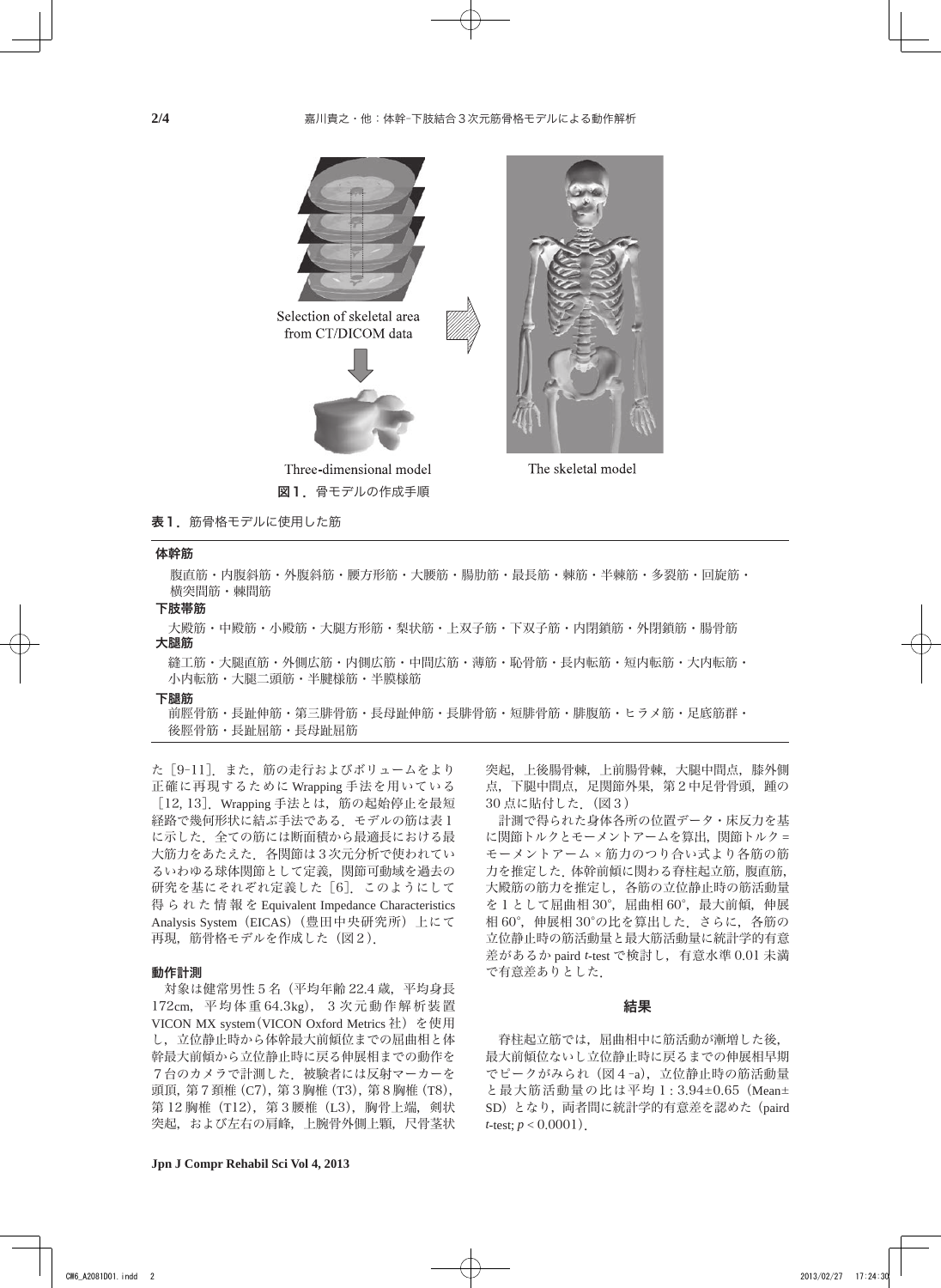

# 表1. 筋骨格モデルに使用した筋

## 体幹筋

腹直筋・内腹斜筋・外腹斜筋・腰方形筋・大腰筋・腸肋筋・最長筋・棘筋・半棘筋・多裂筋・回旋筋・ 横突間筋・棘間筋

#### 下肢帯筋

大殿筋・中殿筋・小殿筋・大腿方形筋・梨状筋・上双子筋・下双子筋・内閉鎖筋・外閉鎖筋・腸骨筋 大腿筋

縫工筋・大腿直筋・外側広筋・内側広筋・中間広筋・薄筋・恥骨筋・長内転筋・短内転筋・大内転筋・ 小内転筋・大腿二頭筋・半腱様筋・半膜様筋

#### 下腿筋

前脛骨筋・長趾伸筋・第三腓骨筋・長母趾伸筋・長腓骨筋・短腓骨筋・腓腹筋・ヒラメ筋・足底筋群・ 後脛骨筋・長趾屈筋・長母趾屈筋

た[9–11].また,筋の走行およびボリュームをより 正確に再現するために Wrapping 手法を用いている [12, 13].Wrapping 手法とは,筋の起始停止を最短 経路で幾何形状に結ぶ手法である. モデルの筋は表1 に示した.全ての筋には断面積から最適長における最 大筋力をあたえた.各関節は3次元分析で使われてい るいわゆる球体関節として定義,関節可動域を過去の 研究を基にそれぞれ定義した [6]. このようにして 得られた情報を Equivalent Impedance Characteristics Analysis System(EICAS)(豊田中央研究所)上にて 再現,筋骨格モデルを作成した(図2).

#### 動作計測

 対象は健常男性5名(平均年齢 22.4 歳,平均身長 172cm,平均体重 64.3kg),3次元動作解析装置 VICON MX system(VICON Oxford Metrics 社)を使用 し,立位静止時から体幹最大前傾位までの屈曲相と体 幹最大前傾から立位静止時に戻る伸展相までの動作を 7台のカメラで計測した.被験者には反射マーカーを 頭頂,第7頚椎(C7),第3胸椎(T3),第8胸椎(T8), 第 12 胸椎 (T12), 第3 腰椎 (L3), 胸骨上端, 剣状 突起,および左右の肩峰,上腕骨外側上顆,尺骨茎状 突起,上後腸骨棘,上前腸骨棘,大腿中間点,膝外側 点,下腿中間点,足関節外果,第2中足骨骨頭,踵の 30 点に貼付した.(図3)

 計測で得られた身体各所の位置データ・床反力を基 に関節トルクとモーメントアームを算出, 関節トルク = モーメントアーム × 筋力のつり合い式より各筋の筋 力を推定した.体幹前傾に関わる脊柱起立筋,腹直筋, 大殿筋の筋力を推定し,各筋の立位静止時の筋活動量 を1として屈曲相 30°,屈曲相 60°,最大前傾,伸展 相 60°,伸展相 30°の比を算出した.さらに,各筋の 立位静止時の筋活動量と最大筋活動量に統計学的有意 差があるか paird *t*-test で検討し,有意水準 0.01 未満 で有意差ありとした.

#### 結果

 脊柱起立筋では,屈曲相中に筋活動が漸増した後, 最大前傾位ないし立位静止時に戻るまでの伸展相早期 でピークがみられ(図4–a),立位静止時の筋活動量 と最大筋活動量の比は平均1: 3.94±0.65(Mean± SD)となり,両者間に統計学的有意差を認めた(paird *t*-test;  $p < 0.0001$ ).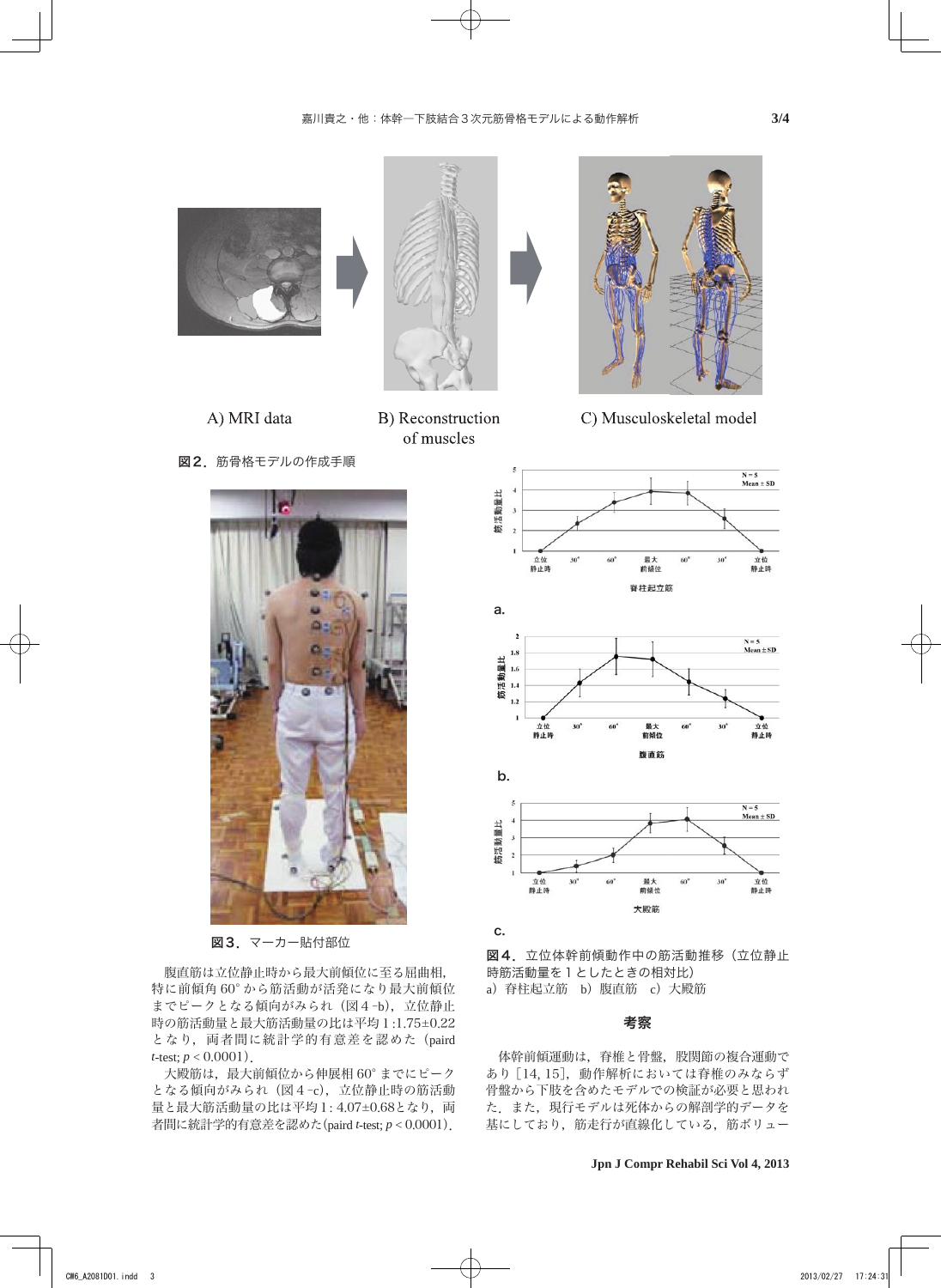





B) Reconstruction of muscles



C) Musculoskeletal model

図2. 筋骨格モデルの作成手順



図3. マーカー貼付部位

 腹直筋は立位静止時から最大前傾位に至る屈曲相, 特に前傾角 60° から筋活動が活発になり最大前傾位 までピークとなる傾向がみられ (図4-b), 立位静止 時の筋活動量と最大筋活動量の比は平均1:1.75±0.22 となり, 両者間に統計学的有意差を認めた (paird *t*-test;  $p < 0.0001$ ).

大殿筋は, 最大前傾位から伸展相 60° までにピーク となる傾向がみられ (図4-c), 立位静止時の筋活動 量と最大筋活動量の比は平均1:4.07±0.68となり, 両 者間に統計学的有意差を認めた(paird *t*-test; *p* < 0.0001).



図4. 立位体幹前傾動作中の筋活動推移(立位静止 時筋活動量を1としたときの相対比) a)脊柱起立筋 b)腹直筋 c)大殿筋

### 考察

 体幹前傾運動は,脊椎と骨盤,股関節の複合運動で あり[14, 15],動作解析においては脊椎のみならず 骨盤から下肢を含めたモデルでの検証が必要と思われ た.また,現行モデルは死体からの解剖学的データを 基にしており,筋走行が直線化している,筋ボリュー